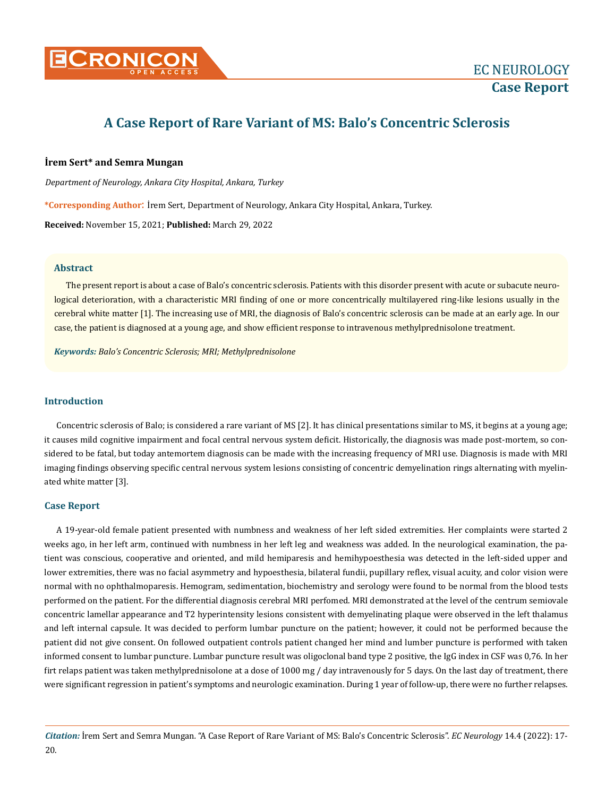

# **A Case Report of Rare Variant of MS: Balo's Concentric Sclerosis**

# **İrem Sert\* and Semra Mungan**

*Department of Neurology, Ankara City Hospital, Ankara, Turkey*

**\*Corresponding Author**: İrem Sert, Department of Neurology, Ankara City Hospital, Ankara, Turkey.

**Received:** November 15, 2021; **Published:** March 29, 2022

## **Abstract**

The present report is about a case of Balo's concentric sclerosis. Patients with this disorder present with acute or subacute neurological deterioration, with a characteristic MRI finding of one or more concentrically multilayered ring-like lesions usually in the cerebral white matter [1]. The increasing use of MRI, the diagnosis of Balo's concentric sclerosis can be made at an early age. In our case, the patient is diagnosed at a young age, and show efficient response to intravenous methylprednisolone treatment.

*Keywords: Balo's Concentric Sclerosis; MRI; Methylprednisolone*

# **Introduction**

Concentric sclerosis of Balo; is considered a rare variant of MS [2]. It has clinical presentations similar to MS, it begins at a young age; it causes mild cognitive impairment and focal central nervous system deficit. Historically, the diagnosis was made post-mortem, so considered to be fatal, but today antemortem diagnosis can be made with the increasing frequency of MRI use. Diagnosis is made with MRI imaging findings observing specific central nervous system lesions consisting of concentric demyelination rings alternating with myelinated white matter [3].

#### **Case Report**

A 19-year-old female patient presented with numbness and weakness of her left sided extremities. Her complaints were started 2 weeks ago, in her left arm, continued with numbness in her left leg and weakness was added. In the neurological examination, the patient was conscious, cooperative and oriented, and mild hemiparesis and hemihypoesthesia was detected in the left-sided upper and lower extremities, there was no facial asymmetry and hypoesthesia, bilateral fundii, pupillary reflex, visual acuity, and color vision were normal with no ophthalmoparesis. Hemogram, sedimentation, biochemistry and serology were found to be normal from the blood tests performed on the patient. For the differential diagnosis cerebral MRI perfomed. MRI demonstrated at the level of the centrum semiovale concentric lamellar appearance and T2 hyperintensity lesions consistent with demyelinating plaque were observed in the left thalamus and left internal capsule. It was decided to perform lumbar puncture on the patient; however, it could not be performed because the patient did not give consent. On followed outpatient controls patient changed her mind and lumber puncture is performed with taken informed consent to lumbar puncture. Lumbar puncture result was oligoclonal band type 2 positive, the IgG index in CSF was 0,76. In her firt relaps patient was taken methylprednisolone at a dose of 1000 mg / day intravenously for 5 days. On the last day of treatment, there were significant regression in patient's symptoms and neurologic examination. During 1 year of follow-up, there were no further relapses.

*Citation:* İrem Sert and Semra Mungan*.* "A Case Report of Rare Variant of MS: Balo's Concentric Sclerosis". *EC Neurology* 14.4 (2022): 17- 20.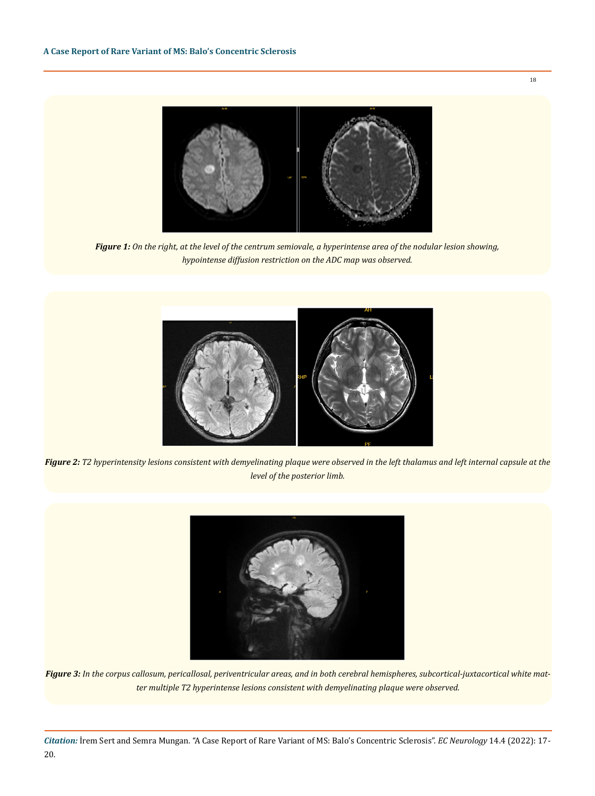

*Figure 1: On the right, at the level of the centrum semiovale, a hyperintense area of the nodular lesion showing, hypointense diffusion restriction on the ADC map was observed.*



*Figure 2: T2 hyperintensity lesions consistent with demyelinating plaque were observed in the left thalamus and left internal capsule at the level of the posterior limb.*



*Figure 3: In the corpus callosum, pericallosal, periventricular areas, and in both cerebral hemispheres, subcortical-juxtacortical white matter multiple T2 hyperintense lesions consistent with demyelinating plaque were observed.*

*Citation:* İrem Sert and Semra Mungan*.* "A Case Report of Rare Variant of MS: Balo's Concentric Sclerosis". *EC Neurology* 14.4 (2022): 17- 20.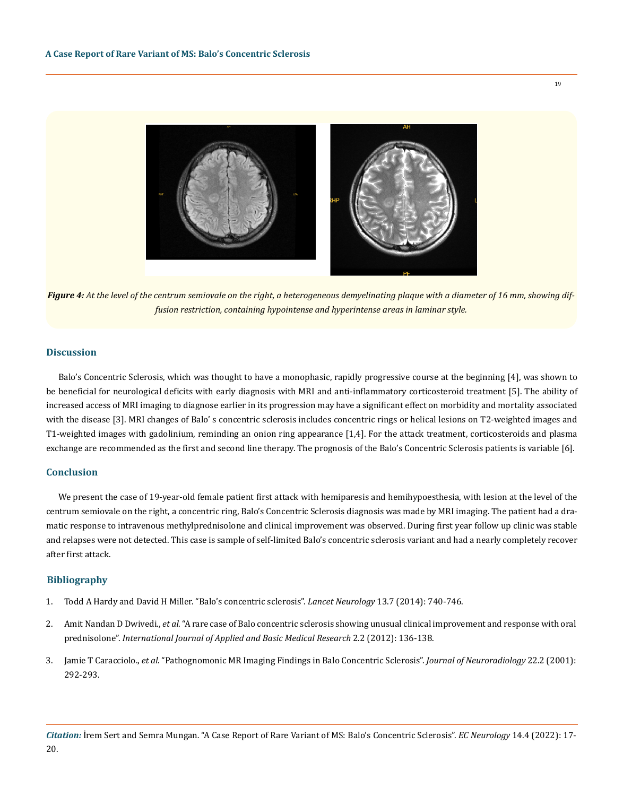

*Figure 4: At the level of the centrum semiovale on the right, a heterogeneous demyelinating plaque with a diameter of 16 mm, showing diffusion restriction, containing hypointense and hyperintense areas in laminar style.*

## **Discussion**

Balo's Concentric Sclerosis, which was thought to have a monophasic, rapidly progressive course at the beginning [4], was shown to be beneficial for neurological deficits with early diagnosis with MRI and anti-inflammatory corticosteroid treatment [5]. The ability of increased access of MRI imaging to diagnose earlier in its progression may have a significant effect on morbidity and mortality associated with the disease [3]. MRI changes of Balo' s concentric sclerosis includes concentric rings or helical lesions on T2-weighted images and T1-weighted images with gadolinium, reminding an onion ring appearance [1,4]. For the attack treatment, corticosteroids and plasma exchange are recommended as the first and second line therapy. The prognosis of the Balo's Concentric Sclerosis patients is variable [6].

#### **Conclusion**

We present the case of 19-year-old female patient first attack with hemiparesis and hemihypoesthesia, with lesion at the level of the centrum semiovale on the right, a concentric ring, Balo's Concentric Sclerosis diagnosis was made by MRI imaging. The patient had a dramatic response to intravenous methylprednisolone and clinical improvement was observed. During first year follow up clinic was stable and relapses were not detected. This case is sample of self-limited Balo's concentric sclerosis variant and had a nearly completely recover after first attack.

## **Bibliography**

- 1. [Todd A Hardy and David H Miller. "Balo's concentric sclerosis".](https://pubmed.ncbi.nlm.nih.gov/24943346/) *Lancet Neurology* 13.7 (2014): 740-746.
- 2. Amit Nandan D Dwivedi., *et al*[. "A rare case of Balo concentric sclerosis showing unusual clinical improvement and response with oral](https://pubmed.ncbi.nlm.nih.gov/23776828/) prednisolone". *[International Journal of Applied and Basic Medical Research](https://pubmed.ncbi.nlm.nih.gov/23776828/)* 2.2 (2012): 136-138.
- 3. Jamie T Caracciolo., *et al*[. "Pathognomonic MR Imaging Findings in Balo Concentric Sclerosis".](https://pubmed.ncbi.nlm.nih.gov/11156771/) *Journal of Neuroradiology* 22.2 (2001): [292-293.](https://pubmed.ncbi.nlm.nih.gov/11156771/)

19